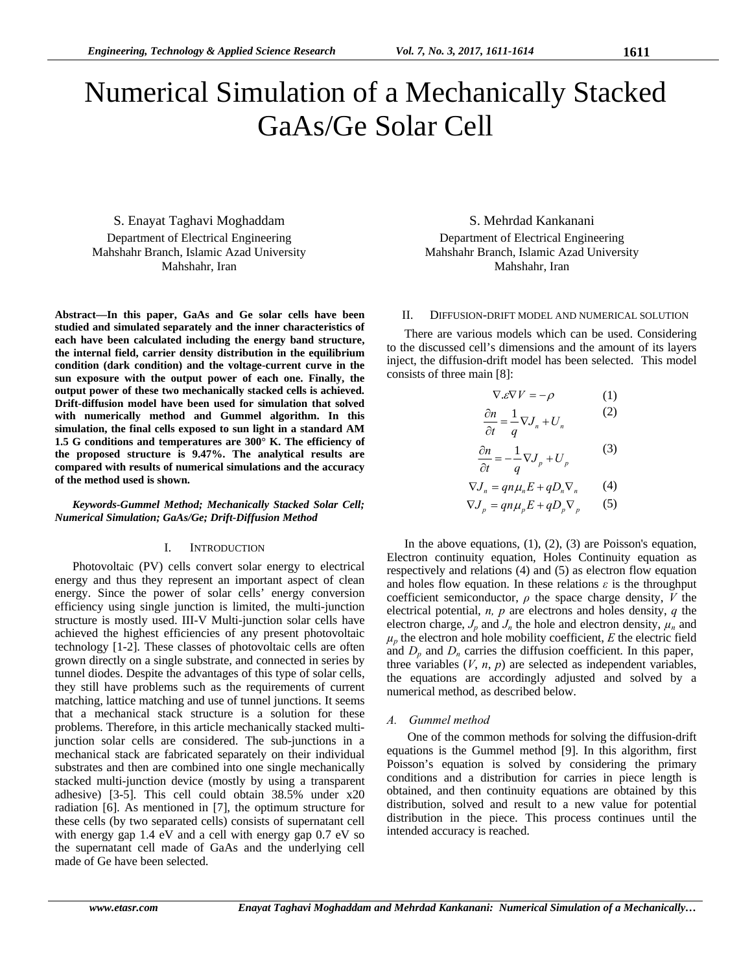# Numerical Simulation of a Mechanically Stacked GaAs/Ge Solar Cell

S. Enayat Taghavi Moghaddam Department of Electrical Engineering Mahshahr Branch, Islamic Azad University Mahshahr, Iran

**Abstract—In this paper, GaAs and Ge solar cells have been studied and simulated separately and the inner characteristics of each have been calculated including the energy band structure, the internal field, carrier density distribution in the equilibrium condition (dark condition) and the voltage-current curve in the sun exposure with the output power of each one. Finally, the output power of these two mechanically stacked cells is achieved. Drift-diffusion model have been used for simulation that solved with numerically method and Gummel algorithm. In this simulation, the final cells exposed to sun light in a standard AM 1.5 G conditions and temperatures are 300° K. The efficiency of the proposed structure is 9.47%. The analytical results are compared with results of numerical simulations and the accuracy of the method used is shown.** 

*Keywords-Gummel Method; Mechanically Stacked Solar Cell; Numerical Simulation; GaAs/Ge; Drift-Diffusion Method* 

## I. INTRODUCTION

Photovoltaic (PV) cells convert solar energy to electrical energy and thus they represent an important aspect of clean energy. Since the power of solar cells' energy conversion efficiency using single junction is limited, the multi-junction structure is mostly used. III-V Multi-junction solar cells have achieved the highest efficiencies of any present photovoltaic technology [1-2]. These classes of photovoltaic cells are often grown directly on a single substrate, and connected in series by tunnel diodes. Despite the advantages of this type of solar cells, they still have problems such as the requirements of current matching, lattice matching and use of tunnel junctions. It seems that a mechanical stack structure is a solution for these problems. Therefore, in this article mechanically stacked multijunction solar cells are considered. The sub-junctions in a mechanical stack are fabricated separately on their individual substrates and then are combined into one single mechanically stacked multi-junction device (mostly by using a transparent adhesive) [3-5]. This cell could obtain 38.5% under x20 radiation [6]. As mentioned in [7], the optimum structure for these cells (by two separated cells) consists of supernatant cell with energy gap 1.4 eV and a cell with energy gap 0.7 eV so the supernatant cell made of GaAs and the underlying cell made of Ge have been selected.

S. Mehrdad Kankanani Department of Electrical Engineering Mahshahr Branch, Islamic Azad University Mahshahr, Iran

## II. DIFFUSION-DRIFT MODEL AND NUMERICAL SOLUTION

There are various models which can be used. Considering to the discussed cell's dimensions and the amount of its layers inject, the diffusion-drift model has been selected. This model consists of three main [8]:

$$
\nabla \cdot \mathcal{E} \nabla V = -\rho \tag{1}
$$
  

$$
\frac{\partial n}{\partial t} = \frac{1}{q} \nabla J_n + U_n \tag{2}
$$

$$
\frac{\partial n}{\partial t} = -\frac{1}{q} \nabla J_p + U_p \tag{3}
$$

$$
\nabla J_n = qn\mu_n E + qD_n \nabla_n \qquad (4)
$$

$$
\nabla J_p = qn\mu_p E + qD_p \nabla_p \qquad (5)
$$

In the above equations,  $(1)$ ,  $(2)$ ,  $(3)$  are Poisson's equation, Electron continuity equation, Holes Continuity equation as respectively and relations (4) and (5) as electron flow equation and holes flow equation. In these relations  $\varepsilon$  is the throughput coefficient semiconductor,  $\rho$  the space charge density,  $V$  the electrical potential, *n, p* are electrons and holes density, *q* the electron charge,  $J_p$  and  $J_n$  the hole and electron density,  $\mu_n$  and  $\mu_p$  the electron and hole mobility coefficient, *E* the electric field and  $D_p$  and  $D_n$  carries the diffusion coefficient. In this paper, three variables  $(V, n, p)$  are selected as independent variables, the equations are accordingly adjusted and solved by a numerical method, as described below.

# *A. Gummel method*

 One of the common methods for solving the diffusion-drift equations is the Gummel method [9]. In this algorithm, first Poisson's equation is solved by considering the primary conditions and a distribution for carries in piece length is obtained, and then continuity equations are obtained by this distribution, solved and result to a new value for potential distribution in the piece. This process continues until the intended accuracy is reached.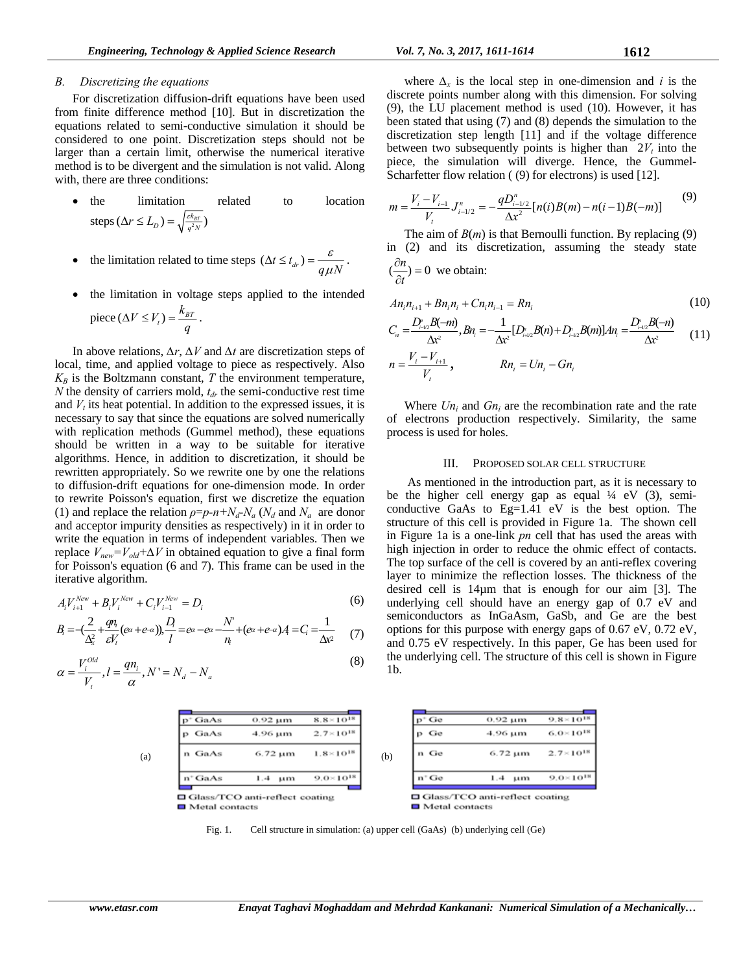# *B. Discretizing the equations*

For discretization diffusion-drift equations have been used from finite difference method [10]. But in discretization the equations related to semi-conductive simulation it should be considered to one point. Discretization steps should not be larger than a certain limit, otherwise the numerical iterative method is to be divergent and the simulation is not valid. Along with, there are three conditions:

- the limitation related to location steps  $(\Delta r \le L_D) = \sqrt{\frac{\varepsilon k_{BT}}{q^2 N}}$
- the limitation related to time steps  $(\Delta t \le t_{dr}) = \frac{\epsilon}{q\mu N}$ ε  $\mu$  $\Delta t \leq t_{dr} = \frac{c}{\Delta t}.$
- the limitation in voltage steps applied to the intended  $V \leq V_t$ ) =  $\frac{k}{t}$

$$
\text{piece } (\Delta V \leq V_t) = \frac{\kappa_{BT}}{q} \, .
$$

In above relations, *∆r*, *∆V* and *∆t* are discretization steps of local, time, and applied voltage to piece as respectively. Also  $K_B$  is the Boltzmann constant, *T* the environment temperature, *N* the density of carriers mold,  $t<sub>dr</sub>$  the semi-conductive rest time and  $V_t$  its heat potential. In addition to the expressed issues, it is necessary to say that since the equations are solved numerically with replication methods (Gummel method), these equations should be written in a way to be suitable for iterative algorithms. Hence, in addition to discretization, it should be rewritten appropriately. So we rewrite one by one the relations to diffusion-drift equations for one-dimension mode. In order to rewrite Poisson's equation, first we discretize the equation (1) and replace the relation  $\rho = p - n + N_d - N_a$  ( $N_d$  and  $N_a$  are donor and acceptor impurity densities as respectively) in it in order to write the equation in terms of independent variables. Then we replace  $V_{new} = V_{old} + \Delta V$  in obtained equation to give a final form for Poisson's equation (6 and 7). This frame can be used in the iterative algorithm.

$$
A_i V_{i+1}^{New} + B_i V_i^{New} + C_i V_{i-1}^{New} = D_i
$$
 (6)

$$
B_i = -\left(\frac{2}{\Delta_x^2} + \frac{qn_i}{\varepsilon V_i}(\varepsilon^{\alpha} + \varepsilon^{-\alpha})\right), \frac{D_i}{l} = \varepsilon^{\alpha} - \varepsilon^{\alpha} - \frac{N'}{n_i} + (\varepsilon^{\alpha} + \varepsilon^{-\alpha})A_i = C_i = \frac{1}{\Delta x^2} \tag{7}
$$

$$
\alpha = \frac{V_i^{old}}{V_i}, l = \frac{qn_i}{\alpha}, N' = N_d - N_a
$$
\n(8)

where  $\Delta$ <sup>*x*</sup> is the local step in one-dimension and *i* is the discrete points number along with this dimension. For solving (9), the LU placement method is used (10). However, it has been stated that using (7) and (8) depends the simulation to the discretization step length [11] and if the voltage difference between two subsequently points is higher than  $2V_t$  into the piece, the simulation will diverge. Hence, the Gummel-Scharfetter flow relation ((9) for electrons) is used [12].

$$
m = \frac{V_i - V_{i-1}}{V_i} J_{i-1/2}^n = -\frac{qD_{i-1/2}^n}{\Delta x^2} [n(i)B(m) - n(i-1)B(-m)] \tag{9}
$$

The aim of  $B(m)$  is that Bernoulli function. By replacing (9) in (2) and its discretization, assuming the steady state  $\partial$ *n* 

$$
(\frac{\partial n}{\partial t}) = 0
$$
 we obtain:

$$
An_{i}n_{i+1} + Bn_{i}n_{i} + Cn_{i}n_{i-1} = Rn_{i}
$$
\n
$$
C_{n} = \frac{D_{i-2}^{n}B(-m)}{\Delta x^{2}}, Bn_{i} = -\frac{1}{\Delta x^{2}}[D_{i+2}^{n}B(n) + D_{i-2}^{n}B(m)]An_{i} = \frac{D_{i-2}^{n}B(-n)}{\Delta x^{2}}
$$
\n
$$
n = \frac{V_{i} - V_{i+1}}{V_{i}}, \qquad Rn_{i} = Un_{i} - Gn_{i}
$$
\n
$$
(11)
$$

Where  $Un_i$  and  $Gn_i$  are the recombination rate and the rate of electrons production respectively. Similarity, the same process is used for holes.

#### III. PROPOSED SOLAR CELL STRUCTURE

 As mentioned in the introduction part, as it is necessary to be the higher cell energy gap as equal  $\frac{1}{4}$  eV (3), semiconductive GaAs to Eg=1.41 eV is the best option. The structure of this cell is provided in Figure 1a. The shown cell in Figure 1a is a one-link *pn* cell that has used the areas with high injection in order to reduce the ohmic effect of contacts. The top surface of the cell is covered by an anti-reflex covering layer to minimize the reflection losses. The thickness of the desired cell is 14µm that is enough for our aim [3]. The underlying cell should have an energy gap of 0.7 eV and semiconductors as InGaAsm, GaSb, and Ge are the best options for this purpose with energy gaps of 0.67 eV, 0.72 eV, and 0.75 eV respectively. In this paper, Ge has been used for the underlying cell. The structure of this cell is shown in Figure 1b.



Fig. 1. Cell structure in simulation: (a) upper cell (GaAs) (b) underlying cell (Ge)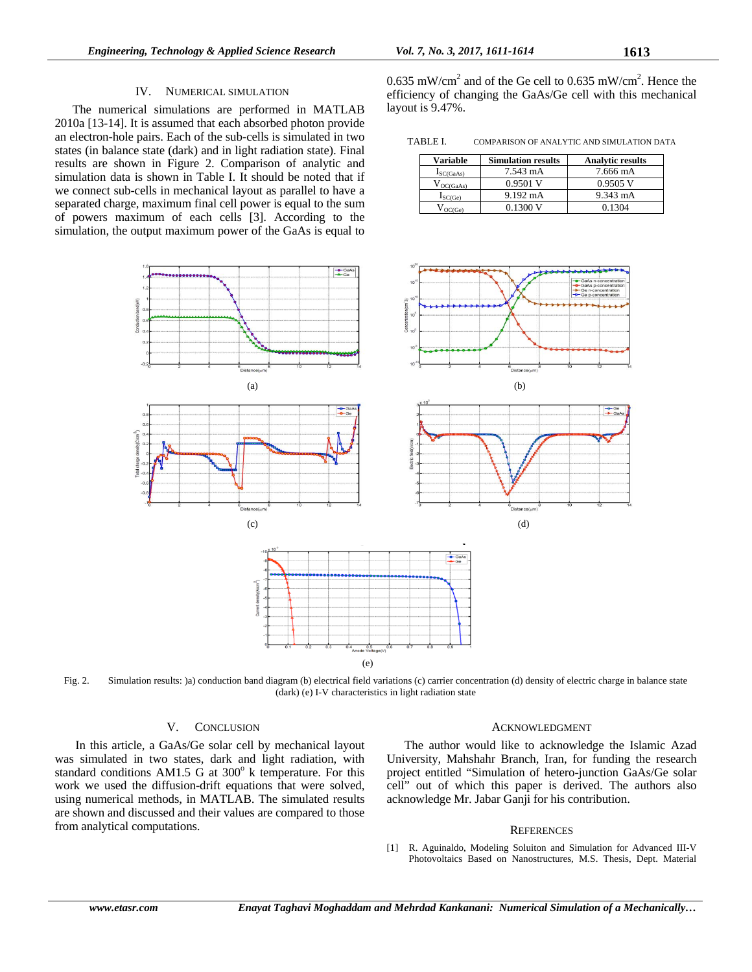# IV. NUMERICAL SIMULATION

The numerical simulations are performed in MATLAB 2010a [13-14]. It is assumed that each absorbed photon provide an electron-hole pairs. Each of the sub-cells is simulated in two states (in balance state (dark) and in light radiation state). Final results are shown in Figure 2. Comparison of analytic and simulation data is shown in Table I. It should be noted that if we connect sub-cells in mechanical layout as parallel to have a separated charge, maximum final cell power is equal to the sum of powers maximum of each cells [3]. According to the simulation, the output maximum power of the GaAs is equal to

0.635 mW/cm<sup>2</sup> and of the Ge cell to 0.635 mW/cm<sup>2</sup>. Hence the efficiency of changing the GaAs/Ge cell with this mechanical layout is 9.47%.

TABLE I. COMPARISON OF ANALYTIC AND SIMULATION DATA

| <b>Variable</b>       | <b>Simulation results</b> | <b>Analytic results</b> |
|-----------------------|---------------------------|-------------------------|
| $I_{SC(GaAs)}$        | 7.543 mA                  | 7.666 mA                |
| $V_{OC(GaAs)}$        | $0.9501$ V                | $0.9505$ V              |
| $I_{SC(Ge)}$          | 9.192 mA                  | 9.343 mA                |
| $V_{\mathrm{OC(Ge)}}$ | 0.1300 V                  | 0.1304                  |



Fig. 2. Simulation results: )a) conduction band diagram (b) electrical field variations (c) carrier concentration (d) density of electric charge in balance state (dark) (e) I-V characteristics in light radiation state

# V. CONCLUSION

 In this article, a GaAs/Ge solar cell by mechanical layout was simulated in two states, dark and light radiation, with standard conditions AM1.5 G at  $300^\circ$  k temperature. For this work we used the diffusion-drift equations that were solved, using numerical methods, in MATLAB. The simulated results are shown and discussed and their values are compared to those from analytical computations.

## ACKNOWLEDGMENT

The author would like to acknowledge the Islamic Azad University, Mahshahr Branch, Iran, for funding the research project entitled "Simulation of hetero-junction GaAs/Ge solar cell" out of which this paper is derived. The authors also acknowledge Mr. Jabar Ganji for his contribution.

## **REFERENCES**

[1] R. Aguinaldo, Modeling Soluiton and Simulation for Advanced III-V Photovoltaics Based on Nanostructures, M.S. Thesis, Dept. Material